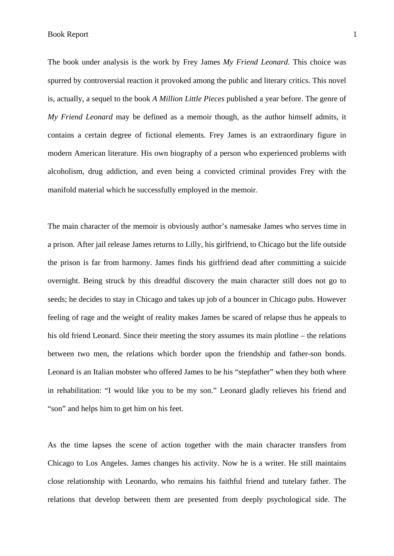Book Report 1

The book under analysis is the work by Frey James *My Friend Leonard.* This choice was spurred by controversial reaction it provoked among the public and literary critics. This novel is, actually, a sequel to the book *A Million Little Pieces* published a year before. The genre of *My Friend Leonard* may be defined as a memoir though, as the author himself admits, it contains a certain degree of fictional elements. Frey James is an extraordinary figure in modern American literature. His own biography of a person who experienced problems with alcoholism, drug addiction, and even being a convicted criminal provides Frey with the manifold material which he successfully employed in the memoir.

The main character of the memoir is obviously author's namesake James who serves time in a prison. After jail release James returns to Lilly, his girlfriend, to Chicago but the life outside the prison is far from harmony. James finds his girlfriend dead after committing a suicide overnight. Being struck by this dreadful discovery the main character still does not go to seeds; he decides to stay in Chicago and takes up job of a bouncer in Chicago pubs. However feeling of rage and the weight of reality makes James be scared of relapse thus he appeals to his old friend Leonard. Since their meeting the story assumes its main plotline – the relations between two men, the relations which border upon the friendship and father-son bonds. Leonard is an Italian mobster who offered James to be his "stepfather" when they both where in rehabilitation: "I would like you to be my son." Leonard gladly relieves his friend and "son" and helps him to get him on his feet.

As the time lapses the scene of action together with the main character transfers from Chicago to Los Angeles. James changes his activity. Now he is a writer. He still maintains close relationship with Leonardo, who remains his faithful friend and tutelary father. The relations that develop between them are presented from deeply psychological side. The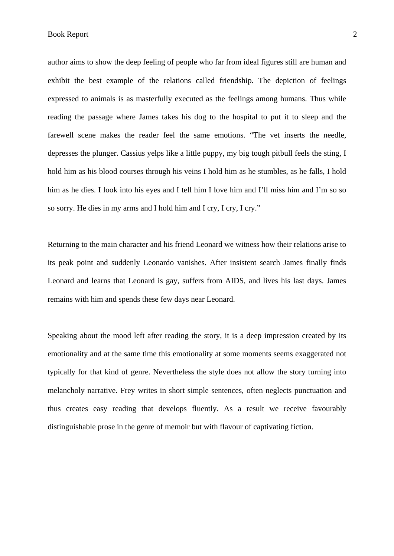author aims to show the deep feeling of people who far from ideal figures still are human and exhibit the best example of the relations called friendship. The depiction of feelings expressed to animals is as masterfully executed as the feelings among humans. Thus while reading the passage where James takes his dog to the hospital to put it to sleep and the farewell scene makes the reader feel the same emotions. "The vet inserts the needle, depresses the plunger. Cassius yelps like a little puppy, my big tough pitbull feels the sting, I hold him as his blood courses through his veins I hold him as he stumbles, as he falls, I hold him as he dies. I look into his eyes and I tell him I love him and I'll miss him and I'm so so so sorry. He dies in my arms and I hold him and I cry, I cry, I cry."

Returning to the main character and his friend Leonard we witness how their relations arise to its peak point and suddenly Leonardo vanishes. After insistent search James finally finds Leonard and learns that Leonard is gay, suffers from AIDS, and lives his last days. James remains with him and spends these few days near Leonard.

Speaking about the mood left after reading the story, it is a deep impression created by its emotionality and at the same time this emotionality at some moments seems exaggerated not typically for that kind of genre. Nevertheless the style does not allow the story turning into melancholy narrative. Frey writes in short simple sentences, often neglects punctuation and thus creates easy reading that develops fluently. As a result we receive favourably distinguishable prose in the genre of memoir but with flavour of captivating fiction.